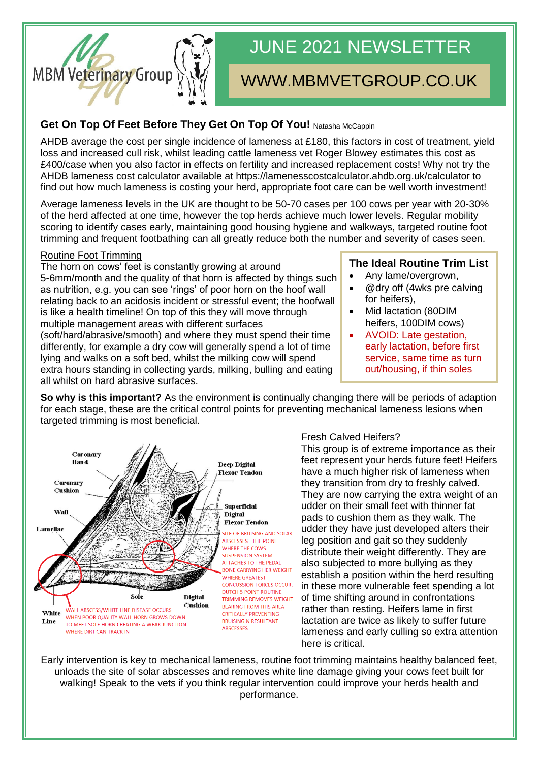

# JUNE 2021 NEWSLETTER

## WWW.MBMVETGROUP.CO.UK

#### **Get On Top Of Feet Before They Get On Top Of You! Natasha McCappin**

AHDB average the cost per single incidence of lameness at £180, this factors in cost of treatment, yield loss and increased cull risk, whilst leading cattle lameness vet Roger Blowey estimates this cost as £400/case when you also factor in effects on fertility and increased replacement costs! Why not try the AHDB lameness cost calculator available at https://lamenesscostcalculator.ahdb.org.uk/calculator to find out how much lameness is costing your herd, appropriate foot care can be well worth investment!

Average lameness levels in the UK are thought to be 50-70 cases per 100 cows per year with 20-30% of the herd affected at one time, however the top herds achieve much lower levels. Regular mobility scoring to identify cases early, maintaining good housing hygiene and walkways, targeted routine foot trimming and frequent footbathing can all greatly reduce both the number and severity of cases seen.

#### Routine Foot Trimming

The horn on cows' feet is constantly growing at around 5-6mm/month and the quality of that horn is affected by things such as nutrition, e.g. you can see 'rings' of poor horn on the hoof wall relating back to an acidosis incident or stressful event; the hoofwall is like a health timeline! On top of this they will move through multiple management areas with different surfaces (soft/hard/abrasive/smooth) and where they must spend their time differently, for example a dry cow will generally spend a lot of time lying and walks on a soft bed, whilst the milking cow will spend extra hours standing in collecting yards, milking, bulling and eating all whilst on hard abrasive surfaces.

#### **The Ideal Routine Trim List**

- Any lame/overgrown,
- @dry off (4wks pre calving for heifers),
- Mid lactation (80DIM heifers, 100DIM cows)
	- AVOID: Late gestation, early lactation, before first service, same time as turn out/housing, if thin soles

**So why is this important?** As the environment is continually changing there will be periods of adaption for each stage, these are the critical control points for preventing mechanical lameness lesions when targeted trimming is most beneficial.



#### Fresh Calved Heifers?

This group is of extreme importance as their feet represent your herds future feet! Heifers have a much higher risk of lameness when they transition from dry to freshly calved. They are now carrying the extra weight of an udder on their small feet with thinner fat pads to cushion them as they walk. The udder they have just developed alters their leg position and gait so they suddenly distribute their weight differently. They are also subjected to more bullying as they establish a position within the herd resulting in these more vulnerable feet spending a lot of time shifting around in confrontations rather than resting. Heifers lame in first lactation are twice as likely to suffer future lameness and early culling so extra attention here is critical.

Early intervention is key to mechanical lameness, routine foot trimming maintains healthy balanced feet, unloads the site of solar abscesses and removes white line damage giving your cows feet built for walking! Speak to the vets if you think regular intervention could improve your herds health and performance.